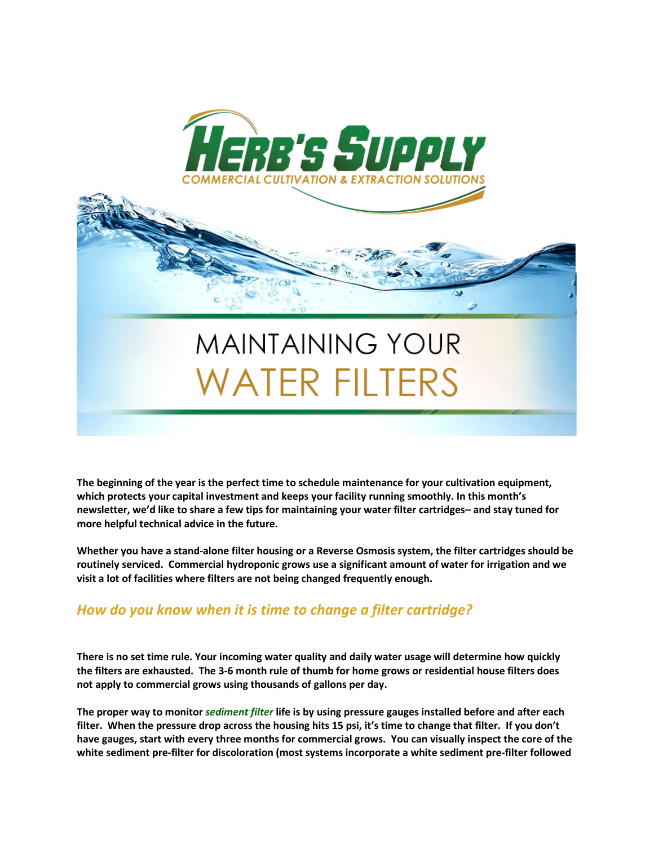

**The beginning of the year is the perfect time to schedule maintenance for your cultivation equipment, which protects your capital investment and keeps your facility running smoothly. In this month's newsletter, we'd like to share a few tips for maintaining your water filter cartridges– and stay tuned for more helpful technical advice in the future.**

**Whether you have a stand-alone filter housing or a Reverse Osmosis system, the filter cartridges should be routinely serviced. Commercial hydroponic grows use a significant amount of water for irrigation and we visit a lot of facilities where filters are not being changed frequently enough.**

### *How do you know when it is time to change a filter cartridge?*

**There is no set time rule. Your incoming water quality and daily water usage will determine how quickly the filters are exhausted. The 3-6 month rule of thumb for home grows or residential house filters does not apply to commercial grows using thousands of gallons per day.**

**The proper way to monitor** *sediment filter* **life is by using pressure gauges installed before and after each filter. When the pressure drop across the housing hits 15 psi, it's time to change that filter. If you don't have gauges, start with every three months for commercial grows. You can visually inspect the core of the white sediment pre-filter for discoloration (most systems incorporate a white sediment pre-filter followed**